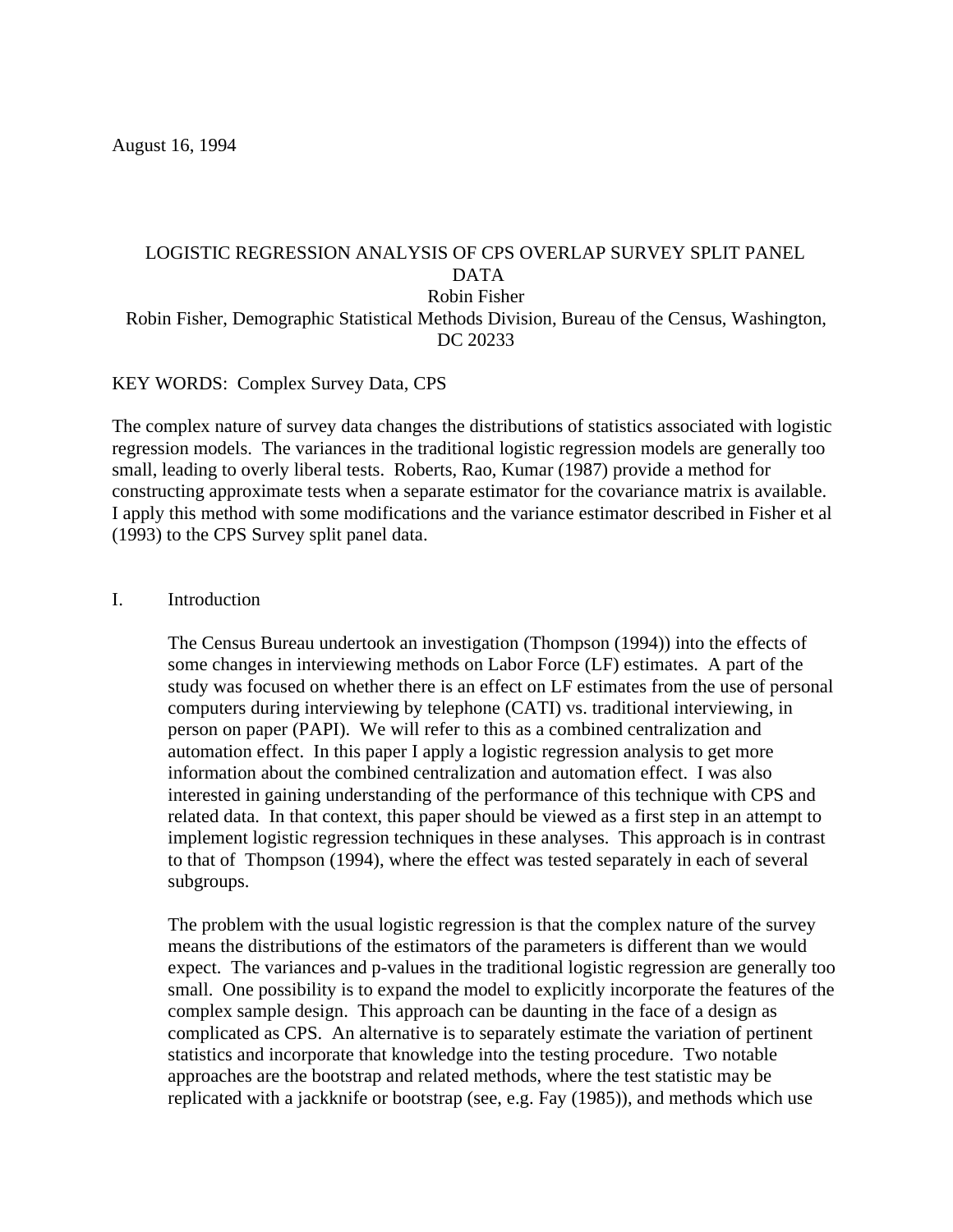August 16, 1994

# LOGISTIC REGRESSION ANALYSIS OF CPS OVERLAP SURVEY SPLIT PANEL DATA Robin Fisher Robin Fisher, Demographic Statistical Methods Division, Bureau of the Census, Washington, DC 20233

# KEY WORDS: Complex Survey Data, CPS

The complex nature of survey data changes the distributions of statistics associated with logistic regression models. The variances in the traditional logistic regression models are generally too small, leading to overly liberal tests. Roberts, Rao, Kumar (1987) provide a method for constructing approximate tests when a separate estimator for the covariance matrix is available. I apply this method with some modifications and the variance estimator described in Fisher et al (1993) to the CPS Survey split panel data.

## I. Introduction

The Census Bureau undertook an investigation (Thompson (1994)) into the effects of some changes in interviewing methods on Labor Force (LF) estimates. A part of the study was focused on whether there is an effect on LF estimates from the use of personal computers during interviewing by telephone (CATI) vs. traditional interviewing, in person on paper (PAPI). We will refer to this as a combined centralization and automation effect. In this paper I apply a logistic regression analysis to get more information about the combined centralization and automation effect. I was also interested in gaining understanding of the performance of this technique with CPS and related data. In that context, this paper should be viewed as a first step in an attempt to implement logistic regression techniques in these analyses. This approach is in contrast to that of Thompson (1994), where the effect was tested separately in each of several subgroups.

The problem with the usual logistic regression is that the complex nature of the survey means the distributions of the estimators of the parameters is different than we would expect. The variances and p-values in the traditional logistic regression are generally too small. One possibility is to expand the model to explicitly incorporate the features of the complex sample design. This approach can be daunting in the face of a design as complicated as CPS. An alternative is to separately estimate the variation of pertinent statistics and incorporate that knowledge into the testing procedure. Two notable approaches are the bootstrap and related methods, where the test statistic may be replicated with a jackknife or bootstrap (see, e.g. Fay (1985)), and methods which use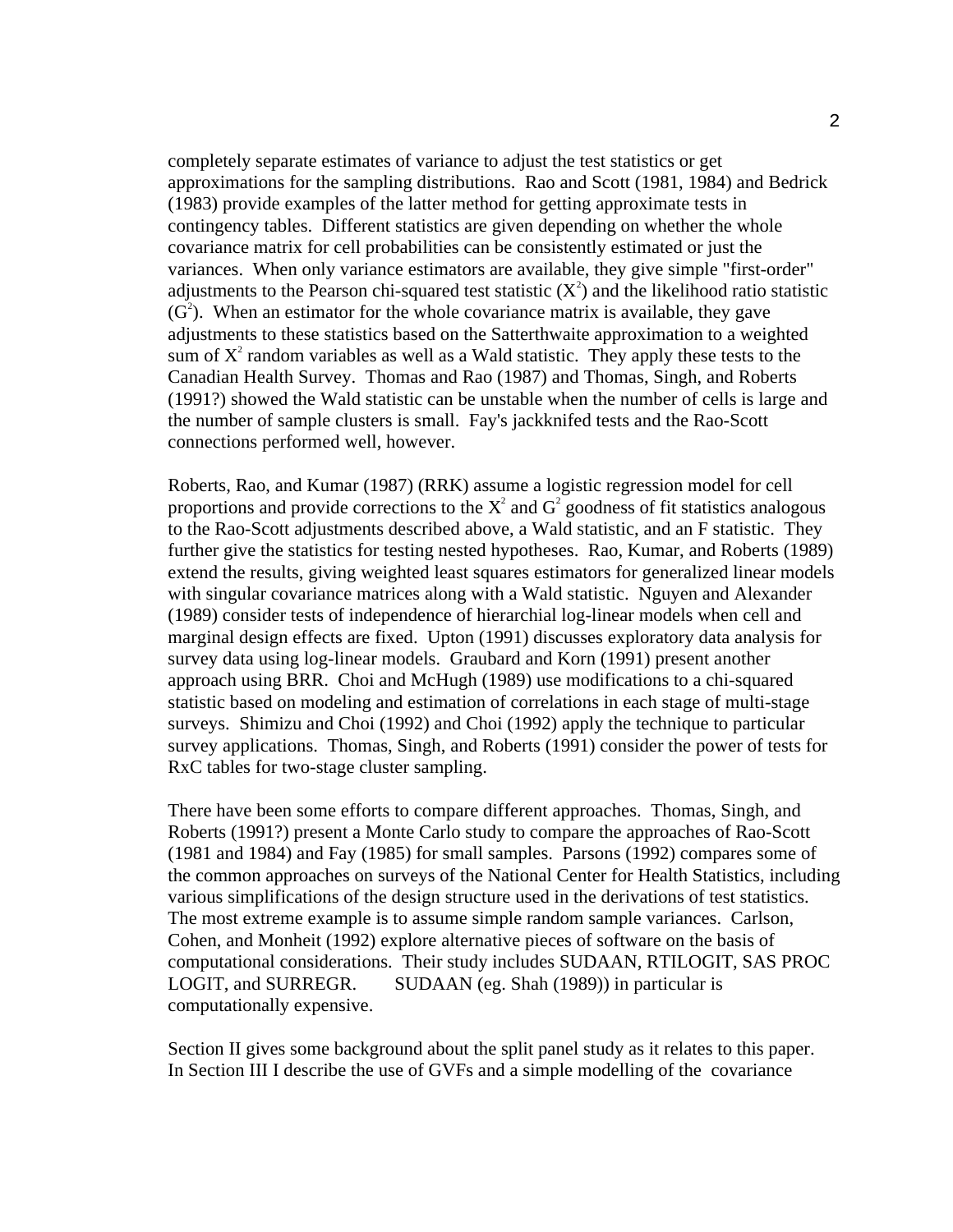completely separate estimates of variance to adjust the test statistics or get approximations for the sampling distributions. Rao and Scott (1981, 1984) and Bedrick (1983) provide examples of the latter method for getting approximate tests in contingency tables. Different statistics are given depending on whether the whole covariance matrix for cell probabilities can be consistently estimated or just the variances. When only variance estimators are available, they give simple "first-order" adjustments to the Pearson chi-squared test statistic  $(X^2)$  and the likelihood ratio statistic  $(G<sup>2</sup>)$ . When an estimator for the whole covariance matrix is available, they gave adjustments to these statistics based on the Satterthwaite approximation to a weighted sum of  $X^2$  random variables as well as a Wald statistic. They apply these tests to the Canadian Health Survey. Thomas and Rao (1987) and Thomas, Singh, and Roberts (1991?) showed the Wald statistic can be unstable when the number of cells is large and the number of sample clusters is small. Fay's jackknifed tests and the Rao-Scott connections performed well, however.

Roberts, Rao, and Kumar (1987) (RRK) assume a logistic regression model for cell proportions and provide corrections to the  $X^2$  and  $G^2$  goodness of fit statistics analogous to the Rao-Scott adjustments described above, a Wald statistic, and an F statistic. They further give the statistics for testing nested hypotheses. Rao, Kumar, and Roberts (1989) extend the results, giving weighted least squares estimators for generalized linear models with singular covariance matrices along with a Wald statistic. Nguyen and Alexander (1989) consider tests of independence of hierarchial log-linear models when cell and marginal design effects are fixed. Upton (1991) discusses exploratory data analysis for survey data using log-linear models. Graubard and Korn (1991) present another approach using BRR. Choi and McHugh (1989) use modifications to a chi-squared statistic based on modeling and estimation of correlations in each stage of multi-stage surveys. Shimizu and Choi (1992) and Choi (1992) apply the technique to particular survey applications. Thomas, Singh, and Roberts (1991) consider the power of tests for RxC tables for two-stage cluster sampling.

There have been some efforts to compare different approaches. Thomas, Singh, and Roberts (1991?) present a Monte Carlo study to compare the approaches of Rao-Scott (1981 and 1984) and Fay (1985) for small samples. Parsons (1992) compares some of the common approaches on surveys of the National Center for Health Statistics, including various simplifications of the design structure used in the derivations of test statistics. The most extreme example is to assume simple random sample variances. Carlson, Cohen, and Monheit (1992) explore alternative pieces of software on the basis of computational considerations. Their study includes SUDAAN, RTILOGIT, SAS PROC LOGIT, and SURREGR. SUDAAN (eg. Shah (1989)) in particular is computationally expensive.

Section II gives some background about the split panel study as it relates to this paper. In Section III I describe the use of GVFs and a simple modelling of the covariance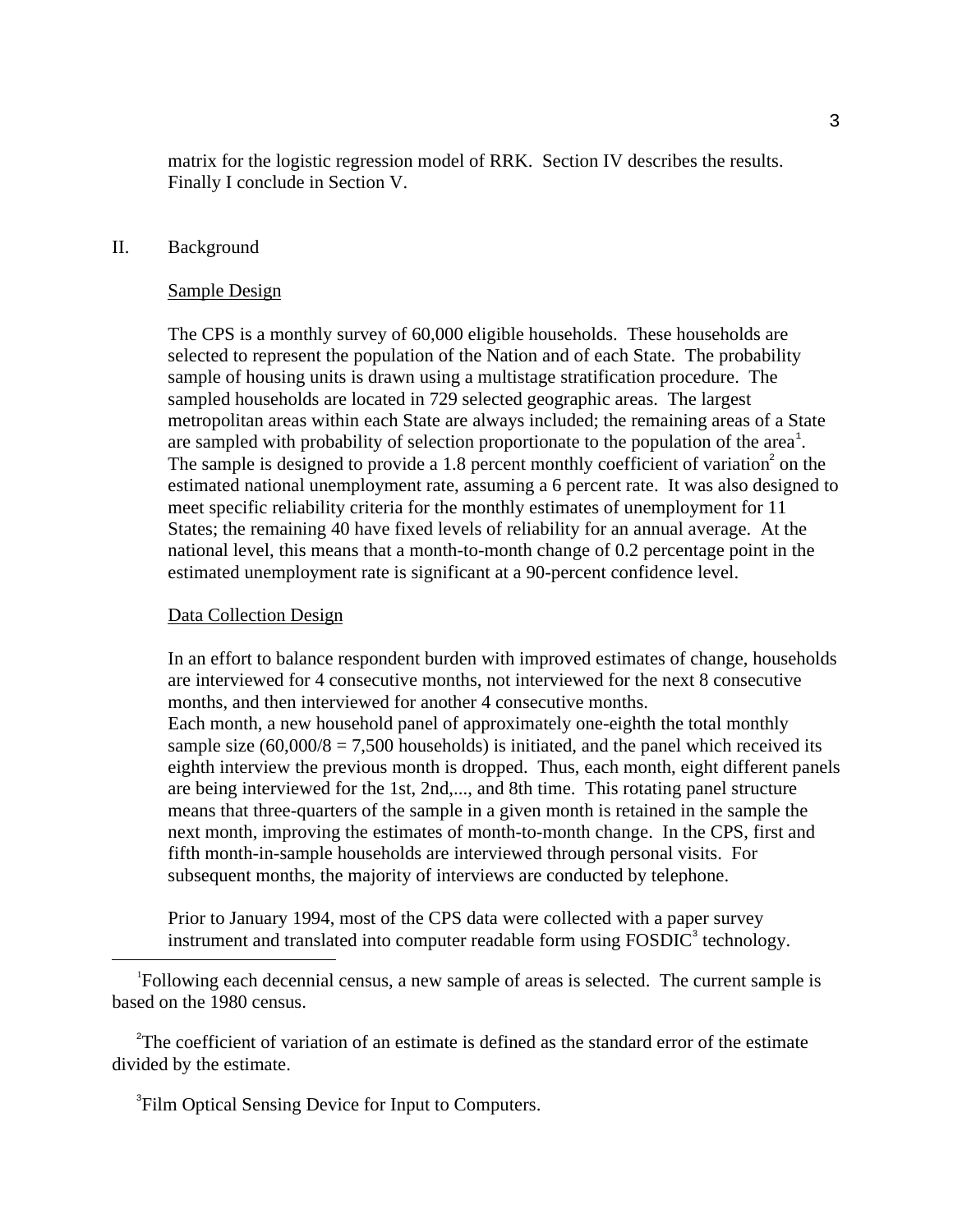matrix for the logistic regression model of RRK. Section IV describes the results. Finally I conclude in Section V.

### II. Background

#### Sample Design

The CPS is a monthly survey of 60,000 eligible households. These households are selected to represent the population of the Nation and of each State. The probability sample of housing units is drawn using a multistage stratification procedure. The sampled households are located in 729 selected geographic areas. The largest metropolitan areas within each State are always included; the remaining areas of a State are sampled with probability of selection proportionate to the population of the area<sup>1</sup>. The sample is designed to provide a 1.8 percent monthly coefficient of variation<sup>2</sup> on the estimated national unemployment rate, assuming a 6 percent rate. It was also designed to meet specific reliability criteria for the monthly estimates of unemployment for 11 States; the remaining 40 have fixed levels of reliability for an annual average. At the national level, this means that a month-to-month change of 0.2 percentage point in the estimated unemployment rate is significant at a 90-percent confidence level.

#### Data Collection Design

 $\overline{\phantom{0}}$ 

In an effort to balance respondent burden with improved estimates of change, households are interviewed for 4 consecutive months, not interviewed for the next 8 consecutive months, and then interviewed for another 4 consecutive months. Each month, a new household panel of approximately one-eighth the total monthly sample size  $(60,000/8 = 7,500$  households) is initiated, and the panel which received its eighth interview the previous month is dropped. Thus, each month, eight different panels are being interviewed for the 1st, 2nd,..., and 8th time. This rotating panel structure means that three-quarters of the sample in a given month is retained in the sample the next month, improving the estimates of month-to-month change. In the CPS, first and fifth month-in-sample households are interviewed through personal visits. For subsequent months, the majority of interviews are conducted by telephone.

Prior to January 1994, most of the CPS data were collected with a paper survey instrument and translated into computer readable form using  $FOSDIC<sup>3</sup>$  technology.

<sup>1</sup>Following each decennial census, a new sample of areas is selected. The current sample is based on the 1980 census.

<sup>2</sup>The coefficient of variation of an estimate is defined as the standard error of the estimate divided by the estimate.

<sup>3</sup>Film Optical Sensing Device for Input to Computers.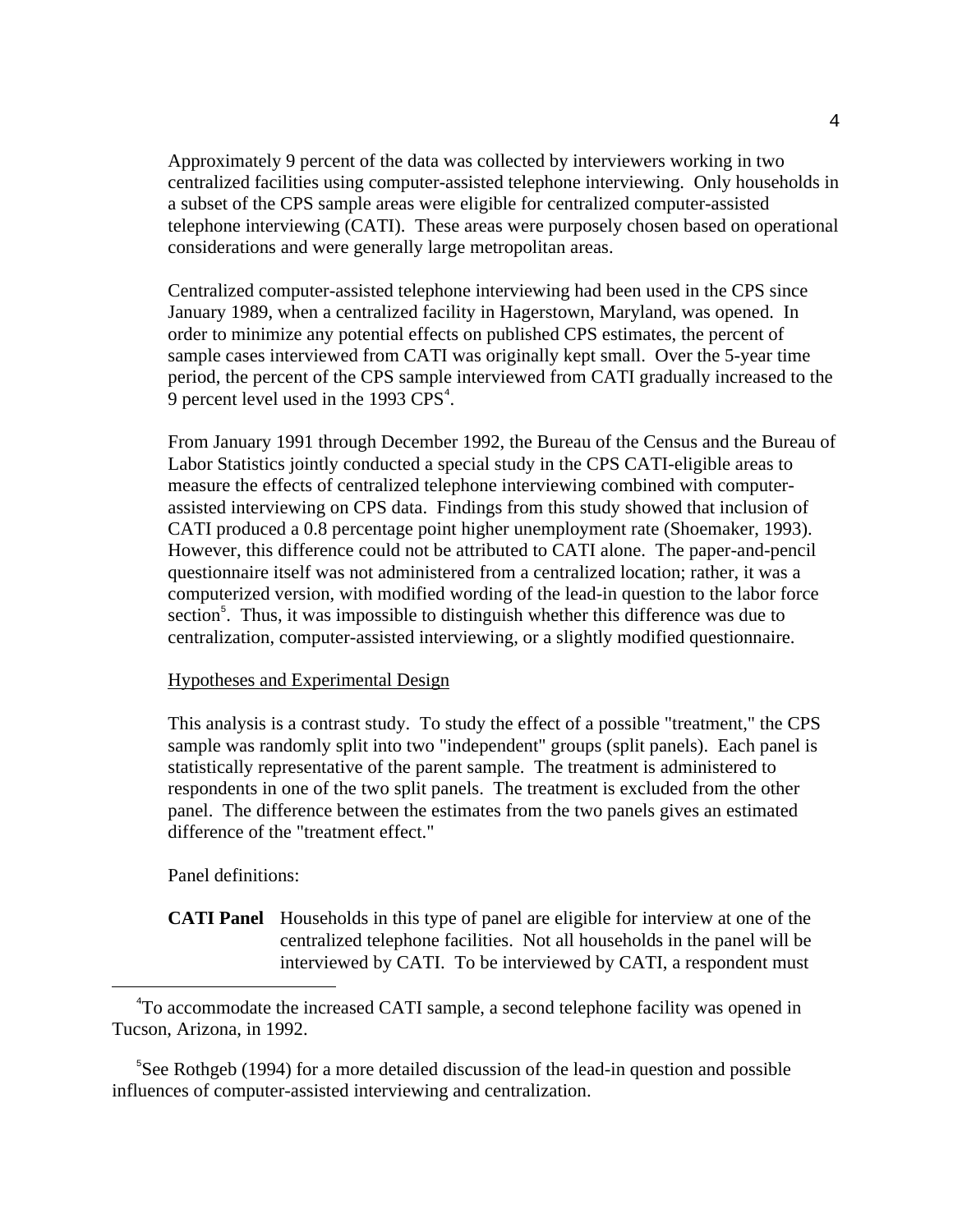Approximately 9 percent of the data was collected by interviewers working in two centralized facilities using computer-assisted telephone interviewing. Only households in a subset of the CPS sample areas were eligible for centralized computer-assisted telephone interviewing (CATI). These areas were purposely chosen based on operational considerations and were generally large metropolitan areas.

Centralized computer-assisted telephone interviewing had been used in the CPS since January 1989, when a centralized facility in Hagerstown, Maryland, was opened. In order to minimize any potential effects on published CPS estimates, the percent of sample cases interviewed from CATI was originally kept small. Over the 5-year time period, the percent of the CPS sample interviewed from CATI gradually increased to the 9 percent level used in the 1993  $CPS<sup>4</sup>$ .

From January 1991 through December 1992, the Bureau of the Census and the Bureau of Labor Statistics jointly conducted a special study in the CPS CATI-eligible areas to measure the effects of centralized telephone interviewing combined with computerassisted interviewing on CPS data. Findings from this study showed that inclusion of CATI produced a 0.8 percentage point higher unemployment rate (Shoemaker, 1993). However, this difference could not be attributed to CATI alone. The paper-and-pencil questionnaire itself was not administered from a centralized location; rather, it was a computerized version, with modified wording of the lead-in question to the labor force section<sup>5</sup>. Thus, it was impossible to distinguish whether this difference was due to centralization, computer-assisted interviewing, or a slightly modified questionnaire.

### Hypotheses and Experimental Design

This analysis is a contrast study. To study the effect of a possible "treatment," the CPS sample was randomly split into two "independent" groups (split panels). Each panel is statistically representative of the parent sample. The treatment is administered to respondents in one of the two split panels. The treatment is excluded from the other panel. The difference between the estimates from the two panels gives an estimated difference of the "treatment effect."

Panel definitions:

 $\overline{\phantom{0}}$ 

**CATI Panel** Households in this type of panel are eligible for interview at one of the centralized telephone facilities. Not all households in the panel will be interviewed by CATI. To be interviewed by CATI, a respondent must

<sup>5</sup>See Rothgeb (1994) for a more detailed discussion of the lead-in question and possible influences of computer-assisted interviewing and centralization.

<sup>4</sup> To accommodate the increased CATI sample, a second telephone facility was opened in Tucson, Arizona, in 1992.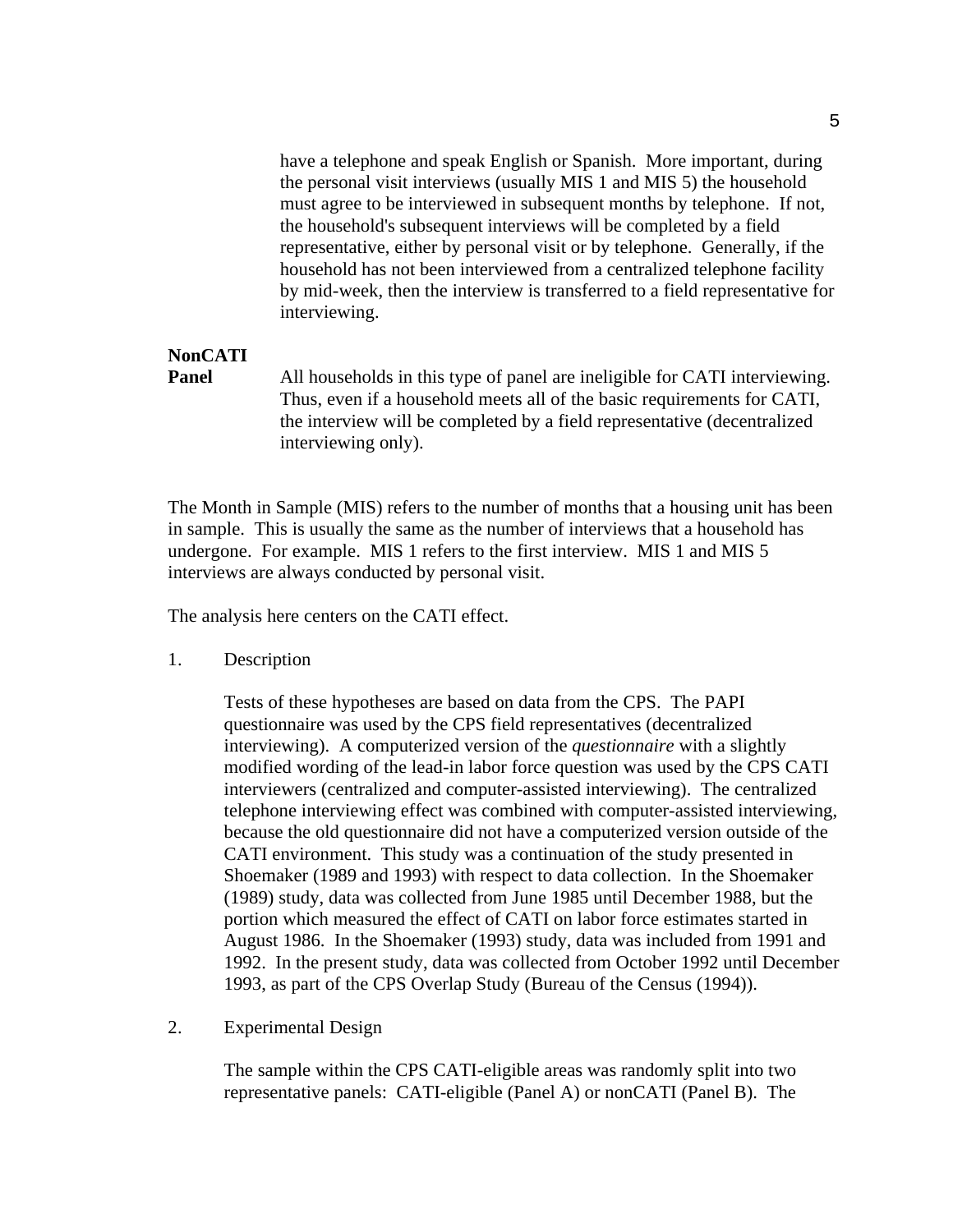have a telephone and speak English or Spanish. More important, during the personal visit interviews (usually MIS 1 and MIS 5) the household must agree to be interviewed in subsequent months by telephone. If not, the household's subsequent interviews will be completed by a field representative, either by personal visit or by telephone. Generally, if the household has not been interviewed from a centralized telephone facility by mid-week, then the interview is transferred to a field representative for interviewing.

# **NonCATI**

**Panel** All households in this type of panel are ineligible for CATI interviewing. Thus, even if a household meets all of the basic requirements for CATI, the interview will be completed by a field representative (decentralized interviewing only).

The Month in Sample (MIS) refers to the number of months that a housing unit has been in sample. This is usually the same as the number of interviews that a household has undergone. For example. MIS 1 refers to the first interview. MIS 1 and MIS 5 interviews are always conducted by personal visit.

The analysis here centers on the CATI effect.

1. Description

Tests of these hypotheses are based on data from the CPS. The PAPI questionnaire was used by the CPS field representatives (decentralized interviewing). A computerized version of the *questionnaire* with a slightly modified wording of the lead-in labor force question was used by the CPS CATI interviewers (centralized and computer-assisted interviewing). The centralized telephone interviewing effect was combined with computer-assisted interviewing, because the old questionnaire did not have a computerized version outside of the CATI environment. This study was a continuation of the study presented in Shoemaker (1989 and 1993) with respect to data collection. In the Shoemaker (1989) study, data was collected from June 1985 until December 1988, but the portion which measured the effect of CATI on labor force estimates started in August 1986. In the Shoemaker (1993) study, data was included from 1991 and 1992. In the present study, data was collected from October 1992 until December 1993, as part of the CPS Overlap Study (Bureau of the Census (1994)).

2. Experimental Design

The sample within the CPS CATI-eligible areas was randomly split into two representative panels: CATI-eligible (Panel A) or nonCATI (Panel B). The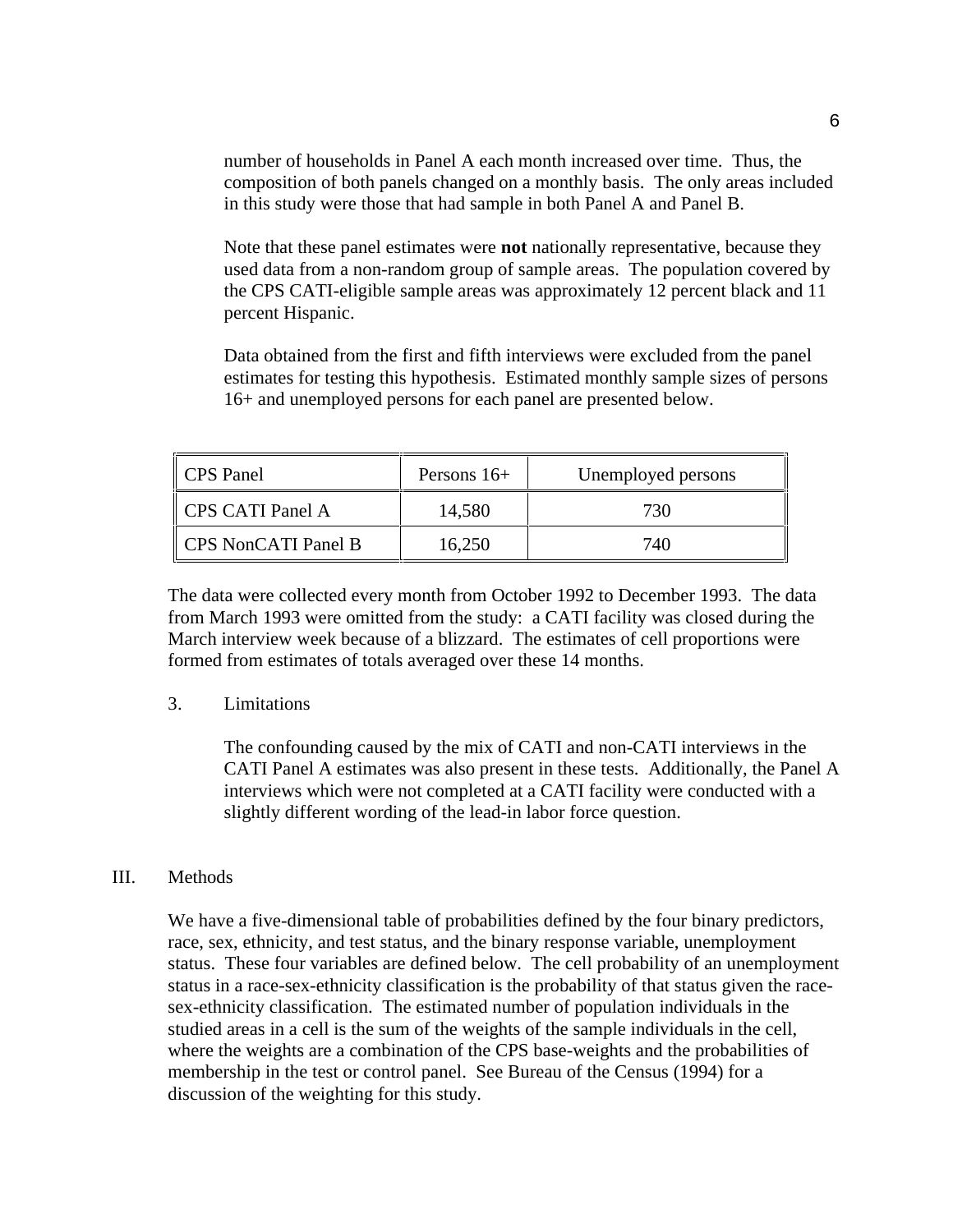number of households in Panel A each month increased over time. Thus, the composition of both panels changed on a monthly basis. The only areas included in this study were those that had sample in both Panel A and Panel B.

Note that these panel estimates were **not** nationally representative, because they used data from a non-random group of sample areas. The population covered by the CPS CATI-eligible sample areas was approximately 12 percent black and 11 percent Hispanic.

Data obtained from the first and fifth interviews were excluded from the panel estimates for testing this hypothesis. Estimated monthly sample sizes of persons 16+ and unemployed persons for each panel are presented below.

| CPS Panel           | Persons $16+$ | Unemployed persons |
|---------------------|---------------|--------------------|
| CPS CATI Panel A    | 14,580        | 730                |
| CPS NonCATI Panel B | 16,250        | 740                |

The data were collected every month from October 1992 to December 1993. The data from March 1993 were omitted from the study: a CATI facility was closed during the March interview week because of a blizzard. The estimates of cell proportions were formed from estimates of totals averaged over these 14 months.

### 3. Limitations

The confounding caused by the mix of CATI and non-CATI interviews in the CATI Panel A estimates was also present in these tests. Additionally, the Panel A interviews which were not completed at a CATI facility were conducted with a slightly different wording of the lead-in labor force question.

### III. Methods

We have a five-dimensional table of probabilities defined by the four binary predictors, race, sex, ethnicity, and test status, and the binary response variable, unemployment status. These four variables are defined below. The cell probability of an unemployment status in a race-sex-ethnicity classification is the probability of that status given the racesex-ethnicity classification. The estimated number of population individuals in the studied areas in a cell is the sum of the weights of the sample individuals in the cell, where the weights are a combination of the CPS base-weights and the probabilities of membership in the test or control panel. See Bureau of the Census (1994) for a discussion of the weighting for this study.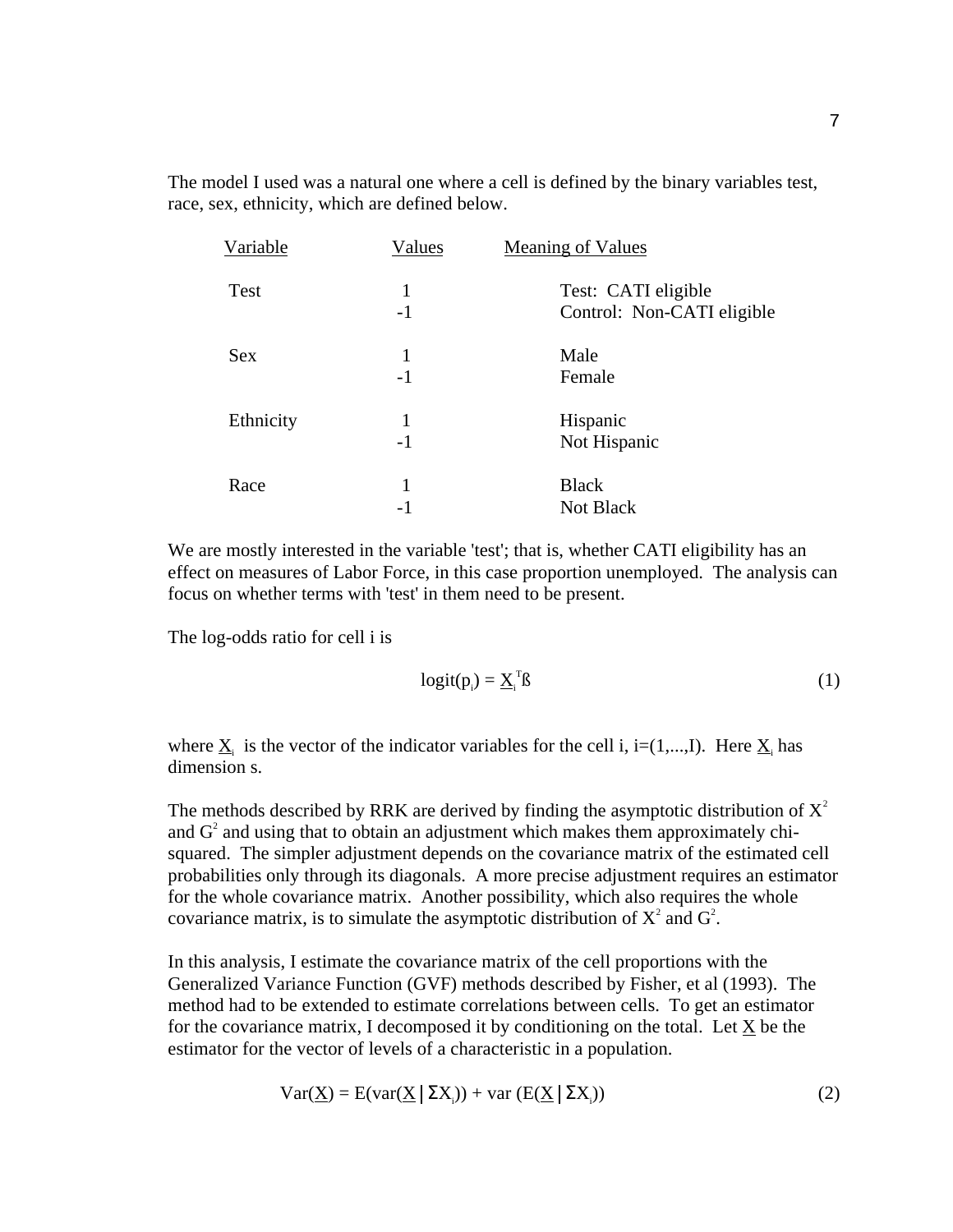The model I used was a natural one where a cell is defined by the binary variables test, race, sex, ethnicity, which are defined below.

| Variable   | <b>Values</b> | <b>Meaning of Values</b>                          |
|------------|---------------|---------------------------------------------------|
| Test       | 1<br>$-1$     | Test: CATI eligible<br>Control: Non-CATI eligible |
| <b>Sex</b> | 1<br>$-1$     | Male<br>Female                                    |
| Ethnicity  | 1<br>$-1$     | Hispanic<br>Not Hispanic                          |
| Race       | 1<br>-1       | <b>Black</b><br><b>Not Black</b>                  |

We are mostly interested in the variable 'test'; that is, whether CATI eligibility has an effect on measures of Labor Force, in this case proportion unemployed. The analysis can focus on whether terms with 'test' in them need to be present.

The log-odds ratio for cell i is

$$
logit(p_i) = \underline{X}_i^T \beta \tag{1}
$$

where  $\underline{X}_i$  is the vector of the indicator variables for the cell i, i=(1,...,I). Here  $\underline{X}_i$  has dimension s.

The methods described by RRK are derived by finding the asymptotic distribution of  $X^2$ and  $G<sup>2</sup>$  and using that to obtain an adjustment which makes them approximately chisquared. The simpler adjustment depends on the covariance matrix of the estimated cell probabilities only through its diagonals. A more precise adjustment requires an estimator for the whole covariance matrix. Another possibility, which also requires the whole covariance matrix, is to simulate the asymptotic distribution of  $X^2$  and  $G^2$ .

In this analysis, I estimate the covariance matrix of the cell proportions with the Generalized Variance Function (GVF) methods described by Fisher, et al (1993). The method had to be extended to estimate correlations between cells. To get an estimator for the covariance matrix, I decomposed it by conditioning on the total. Let X be the estimator for the vector of levels of a characteristic in a population.

$$
Var(\underline{X}) = E(var(\underline{X} | \Sigma X_i)) + var(E(\underline{X} | \Sigma X_i))
$$
\n(2)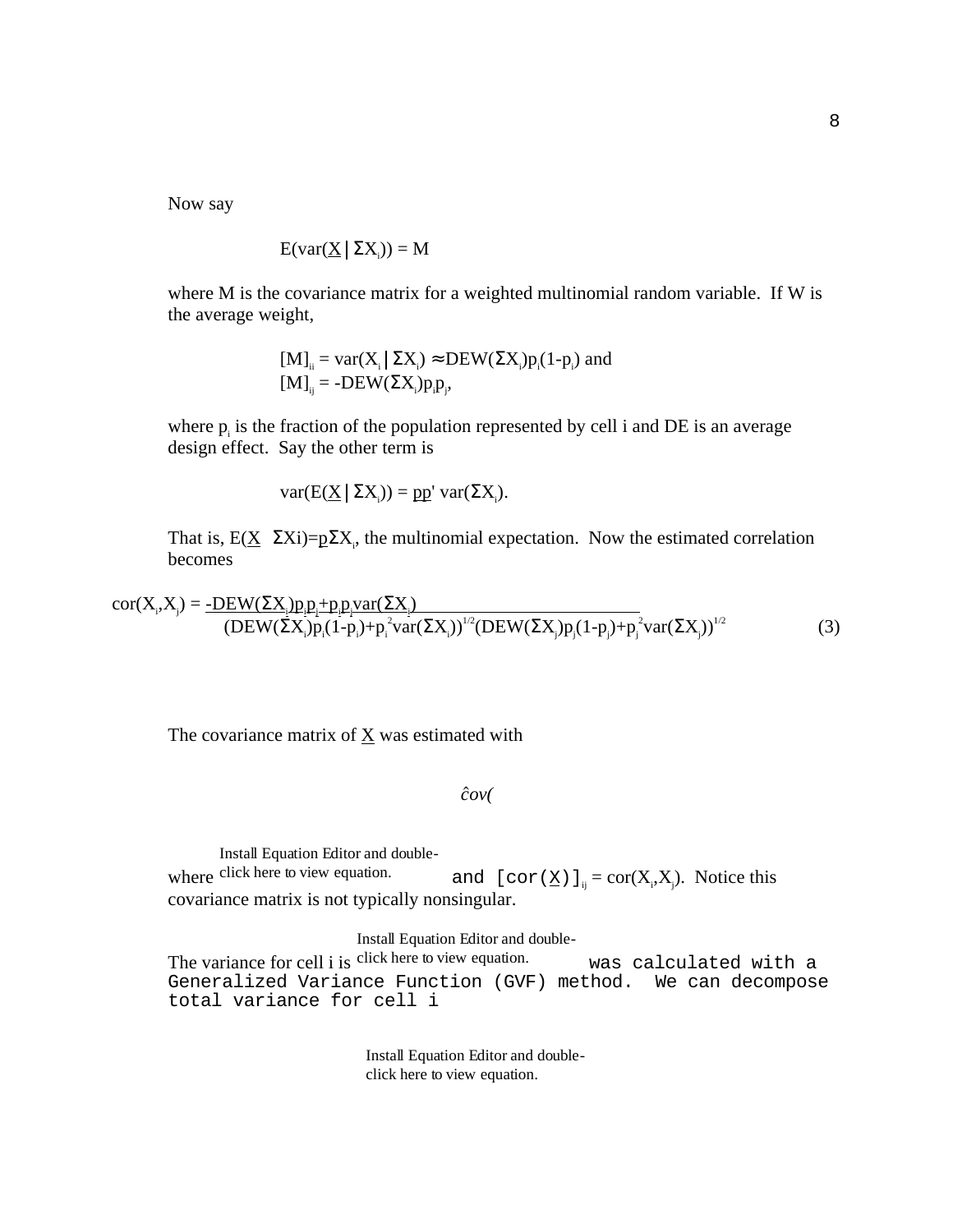Now say

$$
E(var(\underline{X} | \Sigma X_i)) = M
$$

where M is the covariance matrix for a weighted multinomial random variable. If W is the average weight,

> $[M]_{ii} = \text{var}(X_i | \Sigma X_i) \approx \text{DEW}(\Sigma X_i) p_i(1-p_i)$  and  $[M]_{ij} = -DEW(\Sigma X_i)p_i p_j,$

where  $p_i$  is the fraction of the population represented by cell i and DE is an average design effect. Say the other term is

 $var(E(\underline{X} | \Sigma X_i)) = pp' var(\Sigma X_i).$ 

That is,  $E(\underline{X} | \Sigma X_i) = p\Sigma X_i$ , the multinomial expectation. Now the estimated correlation becomes

 $cor(X_i, X_j) = \underline{-DEW(\Sigma X_i)p_i p_j + p_i p_i var(\Sigma X_i)}$  $\left( \frac{\text{DEW}(\Sigma X_i) p_i (1-p_i) + p_i^2 \text{var}(\Sigma X_i)}{\text{var}(\Sigma X_i)} \right)^{1/2} \left( \text{DEW}(\Sigma X_j) p_i (1-p_i) + p_i^2 \text{var}(\Sigma X_j) \right)^{1/2}$  (3)

The covariance matrix of  $\underline{X}$  was estimated with

 $\hat{c}ov($ 

where click here to view equation. Install Equation Editor and doubleclick here to view equation. and  $[\text{cor}(\underline{\mathbf{X}})]_{ij} = \text{cor}(\mathbf{X}_i, \mathbf{X}_j)$ . Notice this covariance matrix is not typically nonsingular.

Install Equation Editor and double-

The variance for cell i is click here to view equation. was calculated with a Generalized Variance Function (GVF) method. We can decompose total variance for cell i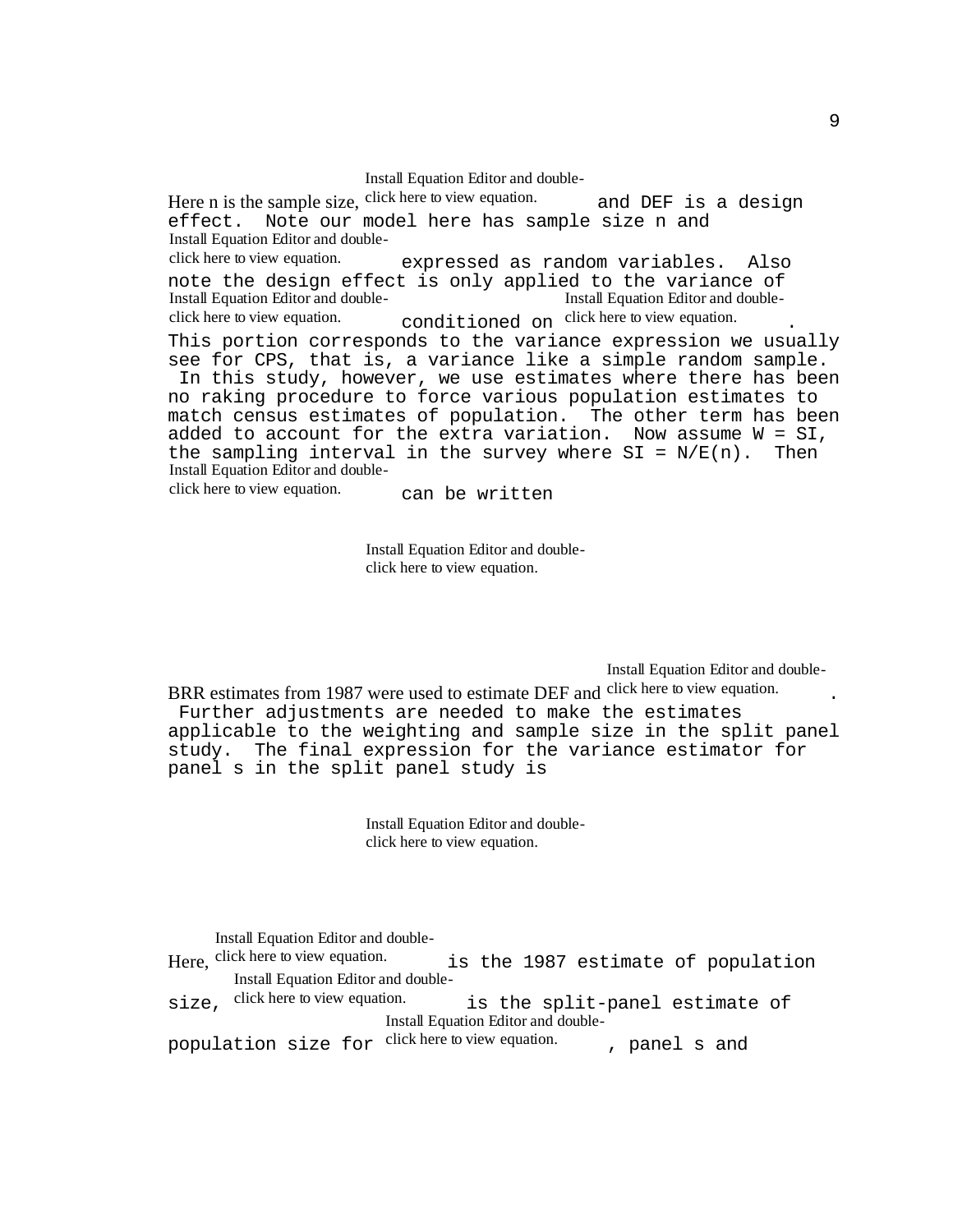Install Equation Editor and double-

Here n is the sample size, click here to view equation. and DEF is a design effect. Note our model here has sample size n and Install Equation Editor and doubleclick here to view equation. expressed as random variables. Also note the design effect is only applied to the variance of Install Equation Editor and doubleclick here to view equation. conditioned on click here to view equation. Install Equation Editor and double-This portion corresponds to the variance expression we usually see for CPS, that is, a variance like a simple random sample. In this study, however, we use estimates where there has been no raking procedure to force various population estimates to match census estimates of population. The other term has been added to account for the extra variation. Now assume  $W = SI$ , the sampling interval in the survey where  $SI = N/E(n)$ . Then Install Equation Editor and doubleclick here to view equation. can be written

> Install Equation Editor and doubleclick here to view equation.

> > Install Equation Editor and double-

BRR estimates from 1987 were used to estimate DEF and click here to view equation.

 Further adjustments are needed to make the estimates applicable to the weighting and sample size in the split panel study. The final expression for the variance estimator for panel s in the split panel study is

> Install Equation Editor and doubleclick here to view equation.

Here, click here to view equation. Install Equation Editor and doubleis the 1987 estimate of population.  $size$ , click here to view equation. Install Equation Editor and doubleis the split-panel estimate of population size for <sup>click here to view equation.</sup> , panel s and Install Equation Editor and double-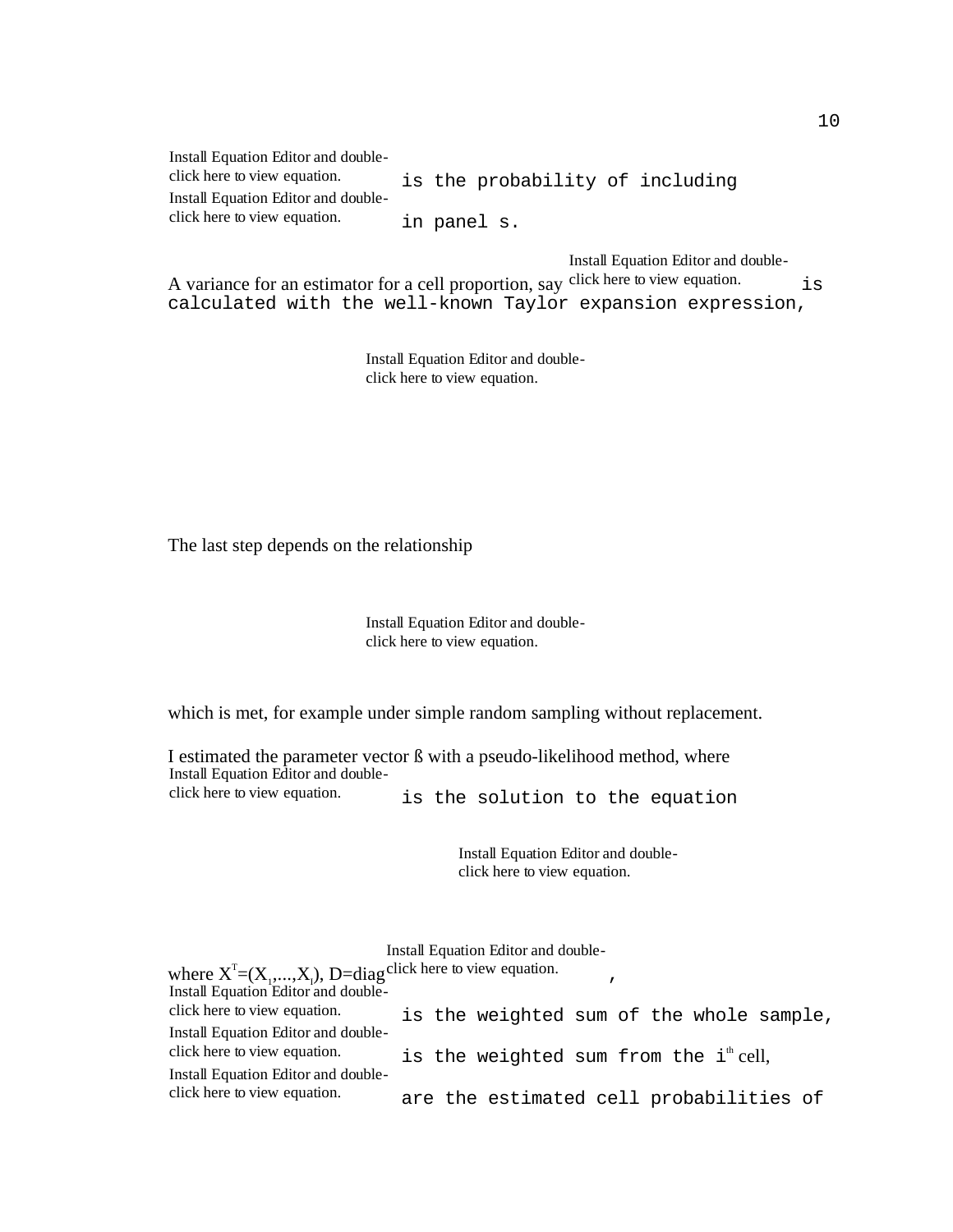| Install Equation Editor and double- |  |                                 |  |
|-------------------------------------|--|---------------------------------|--|
| click here to view equation.        |  | is the probability of including |  |
| Install Equation Editor and double- |  |                                 |  |
| click here to view equation.        |  | in panel s.                     |  |

Install Equation Editor and double-

A variance for an estimator for a cell proportion, say click here to view equation. is calculated with the well-known Taylor expansion expression,

> Install Equation Editor and doubleclick here to view equation.

The last step depends on the relationship

Install Equation Editor and doubleclick here to view equation.

which is met, for example under simple random sampling without replacement.

I estimated the parameter vector ß with a pseudo-likelihood method, where Install Equation Editor and double-

click here to view equation. is the solution to the equation

| Install Equation Editor and double-                                     |                                                    |  |  |  |
|-------------------------------------------------------------------------|----------------------------------------------------|--|--|--|
| where $X^T=(X_1,,X_i)$ , D=diag <sup>click</sup> here to view equation. |                                                    |  |  |  |
| Install Equation Editor and double-                                     |                                                    |  |  |  |
| click here to view equation.                                            | is the weighted sum of the whole sample,           |  |  |  |
| Install Equation Editor and double-                                     |                                                    |  |  |  |
| click here to view equation.                                            | is the weighted sum from the i <sup>th</sup> cell, |  |  |  |
| Install Equation Editor and double-                                     |                                                    |  |  |  |
| click here to view equation.                                            | are the estimated cell probabilities of            |  |  |  |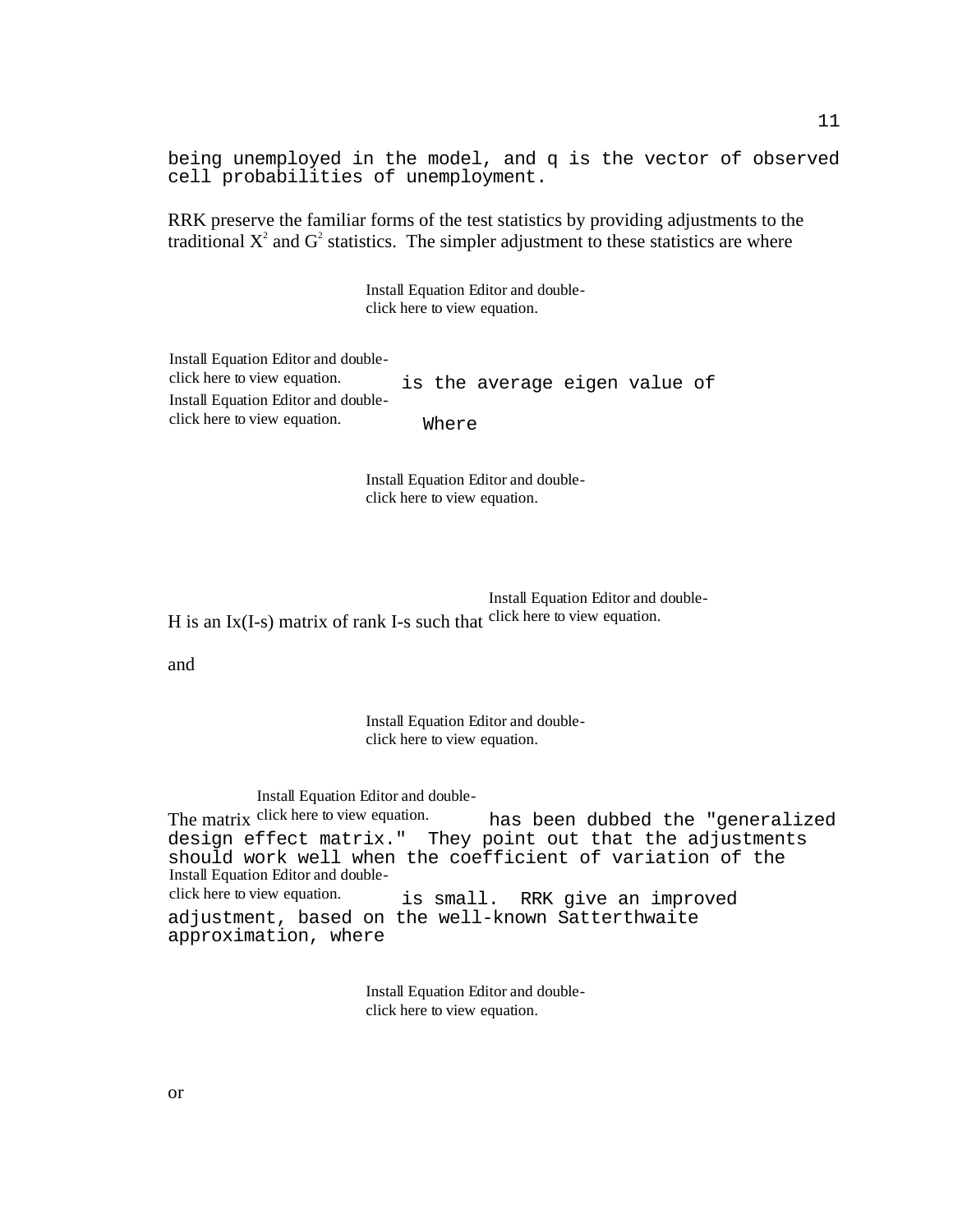being unemployed in the model, and q is the vector of observed cell probabilities of unemployment.

RRK preserve the familiar forms of the test statistics by providing adjustments to the traditional  $X^2$  and  $G^2$  statistics. The simpler adjustment to these statistics are where

> Install Equation Editor and doubleclick here to view equation.

| Install Equation Editor and double- |       |                               |  |  |
|-------------------------------------|-------|-------------------------------|--|--|
| click here to view equation.        |       | is the average eigen value of |  |  |
| Install Equation Editor and double- |       |                               |  |  |
| click here to view equation.        | Where |                               |  |  |

Install Equation Editor and doubleclick here to view equation.

H is an Ix(I-s) matrix of rank I-s such that click here to view equation. Install Equation Editor and double-

and

Install Equation Editor and doubleclick here to view equation.

The matrix click here to view equation. Install Equation Editor and doublehas been dubbed the "generalized design effect matrix." They point out that the adjustments should work well when the coefficient of variation of the Install Equation Editor and doubleclick here to view equation. is small. RRK give an improved adjustment, based on the well-known Satterthwaite approximation, where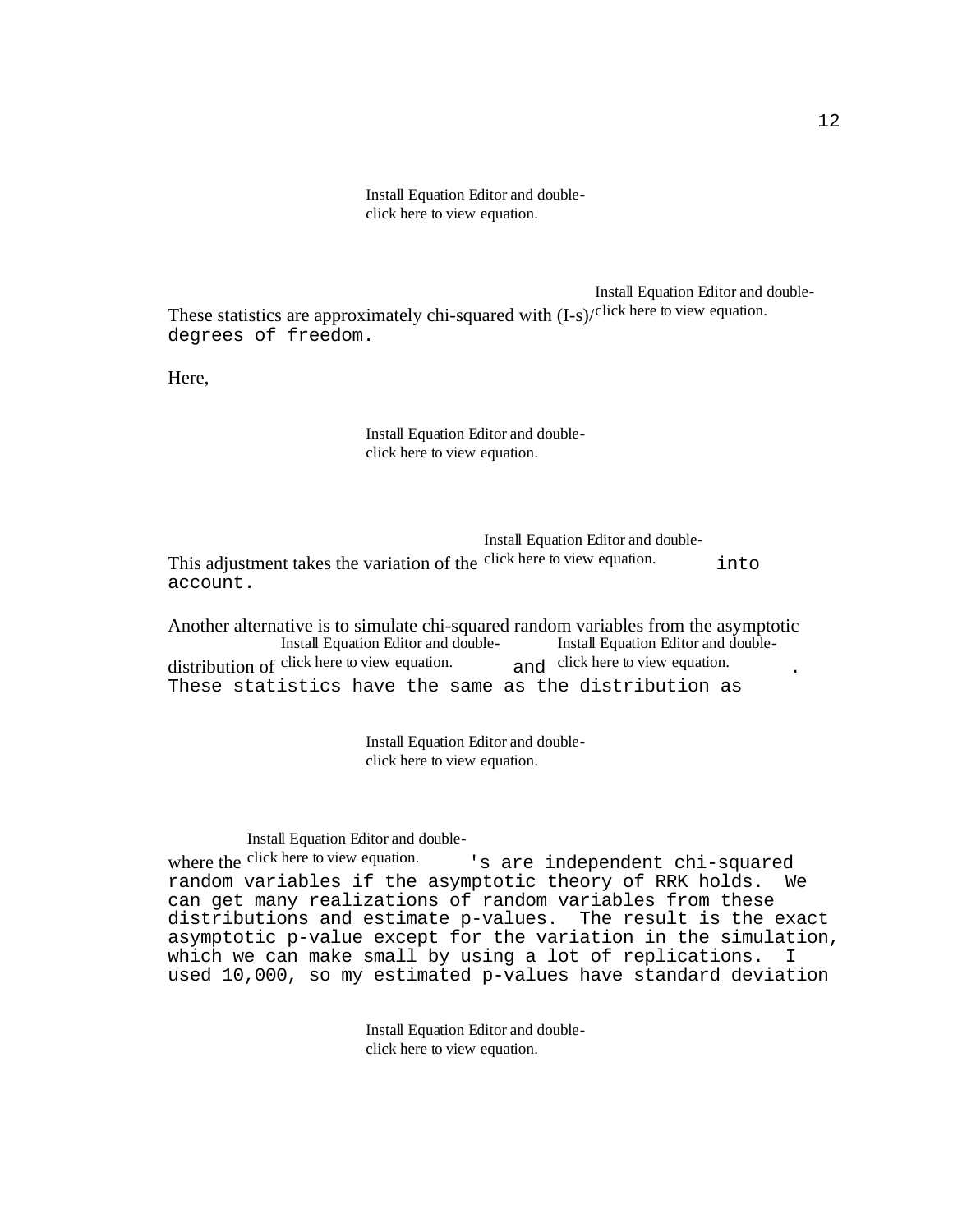Install Equation Editor and doubleclick here to view equation.

These statistics are approximately chi-squared with  $(I-s)/<sup>click</sup>$  here to view equation. Install Equation Editor and doubledegrees of freedom.

Here,

Install Equation Editor and doubleclick here to view equation.

This adjustment takes the variation of the click here to view equation. into Install Equation Editor and doubleaccount.

Another alternative is to simulate chi-squared random variables from the asymptotic distribution of click here to view equation. and Install Equation Editor and double-Install Equation Editor and doubleand click here to view equation. These statistics have the same as the distribution as

> Install Equation Editor and doubleclick here to view equation.

Install Equation Editor and double-

where the click here to view equation. 's are independent chi-squared random variables if the asymptotic theory of RRK holds. We can get many realizations of random variables from these distributions and estimate p-values. The result is the exact asymptotic p-value except for the variation in the simulation, which we can make small by using a lot of replications. I used 10,000, so my estimated p-values have standard deviation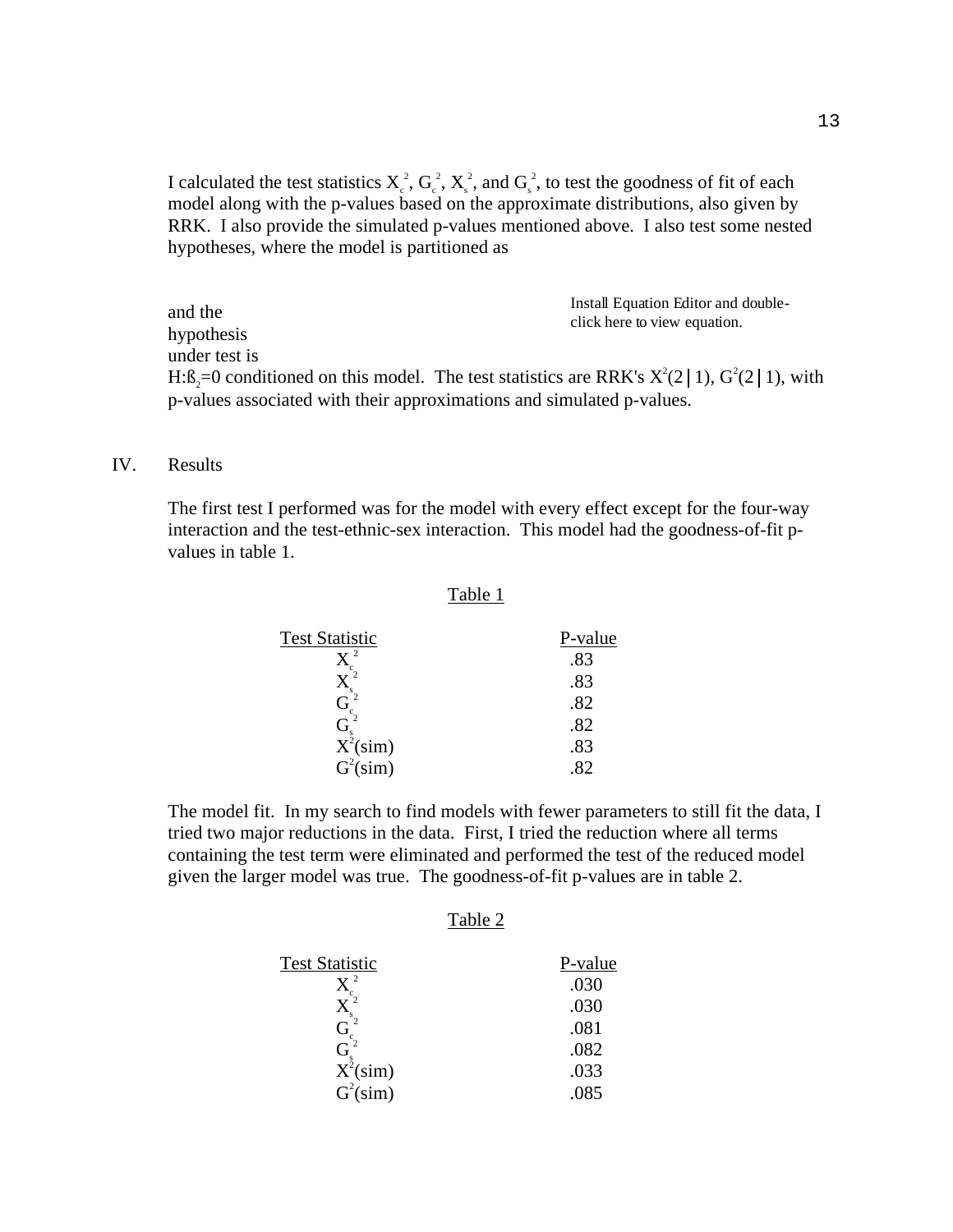I calculated the test statistics  $X_c^2$ ,  $G_c^2$ ,  $X_s^2$ , and  $G_s^2$ , to test the goodness of fit of each model along with the p-values based on the approximate distributions, also given by RRK. I also provide the simulated p-values mentioned above. I also test some nested hypotheses, where the model is partitioned as

and the hypothesis under test is H: $\beta_2$ =0 conditioned on this model. The test statistics are RRK's  $X^2(2|1)$ ,  $G^2(2|1)$ , with p-values associated with their approximations and simulated p-values. Install Equation Editor and doubleclick here to view equation.

#### IV. Results

The first test I performed was for the model with every effect except for the four-way interaction and the test-ethnic-sex interaction. This model had the goodness-of-fit pvalues in table 1.

#### Table 1

| <b>Test Statistic</b>           | P-value |
|---------------------------------|---------|
| -2                              | .83     |
|                                 | .83     |
|                                 | .82     |
|                                 | .82     |
| $\frac{G_s^2}{X^2(\text{sim})}$ | .83     |
| $G^2(\text{sim})$               |         |

The model fit. In my search to find models with fewer parameters to still fit the data, I tried two major reductions in the data. First, I tried the reduction where all terms containing the test term were eliminated and performed the test of the reduced model given the larger model was true. The goodness-of-fit p-values are in table 2.

#### Table 2

| <b>Test Statistic</b> | P-value |
|-----------------------|---------|
| 2                     | .030    |
|                       | .030    |
|                       | .081    |
| (ì                    | .082    |
| $X^2(\text{sim})$     | .033    |
| $G^2(\text{sim})$     | .085    |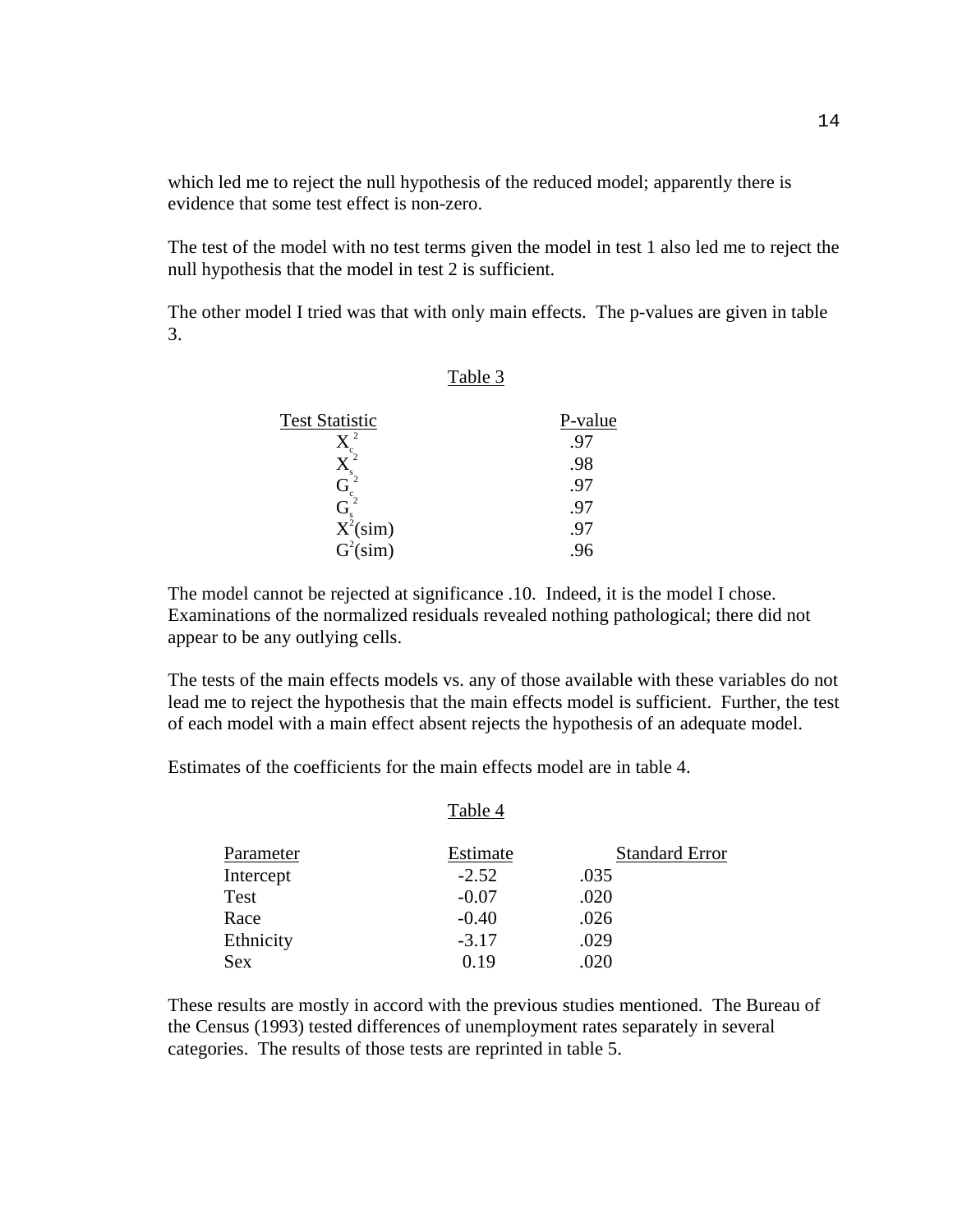which led me to reject the null hypothesis of the reduced model; apparently there is evidence that some test effect is non-zero.

The test of the model with no test terms given the model in test 1 also led me to reject the null hypothesis that the model in test 2 is sufficient.

The other model I tried was that with only main effects. The p-values are given in table 3.

#### Table 3

| <b>Test Statistic</b>  | P-value      |
|------------------------|--------------|
| 2                      |              |
|                        | .98          |
|                        | $9^{\prime}$ |
|                        | -9,          |
| $\overline{X}^s$ (sim) | <u>у,</u>    |
| $G^2(\text{sim})$      |              |

The model cannot be rejected at significance .10. Indeed, it is the model I chose. Examinations of the normalized residuals revealed nothing pathological; there did not appear to be any outlying cells.

The tests of the main effects models vs. any of those available with these variables do not lead me to reject the hypothesis that the main effects model is sufficient. Further, the test of each model with a main effect absent rejects the hypothesis of an adequate model.

Estimates of the coefficients for the main effects model are in table 4.

| Parameter  | Estimate | <b>Standard Error</b> |
|------------|----------|-----------------------|
| Intercept  | $-2.52$  | .035                  |
| Test       | $-0.07$  | .020                  |
| Race       | $-0.40$  | .026                  |
| Ethnicity  | $-3.17$  | .029                  |
| <b>Sex</b> | O 19     | .020                  |

Table 4

These results are mostly in accord with the previous studies mentioned. The Bureau of the Census (1993) tested differences of unemployment rates separately in several categories. The results of those tests are reprinted in table 5.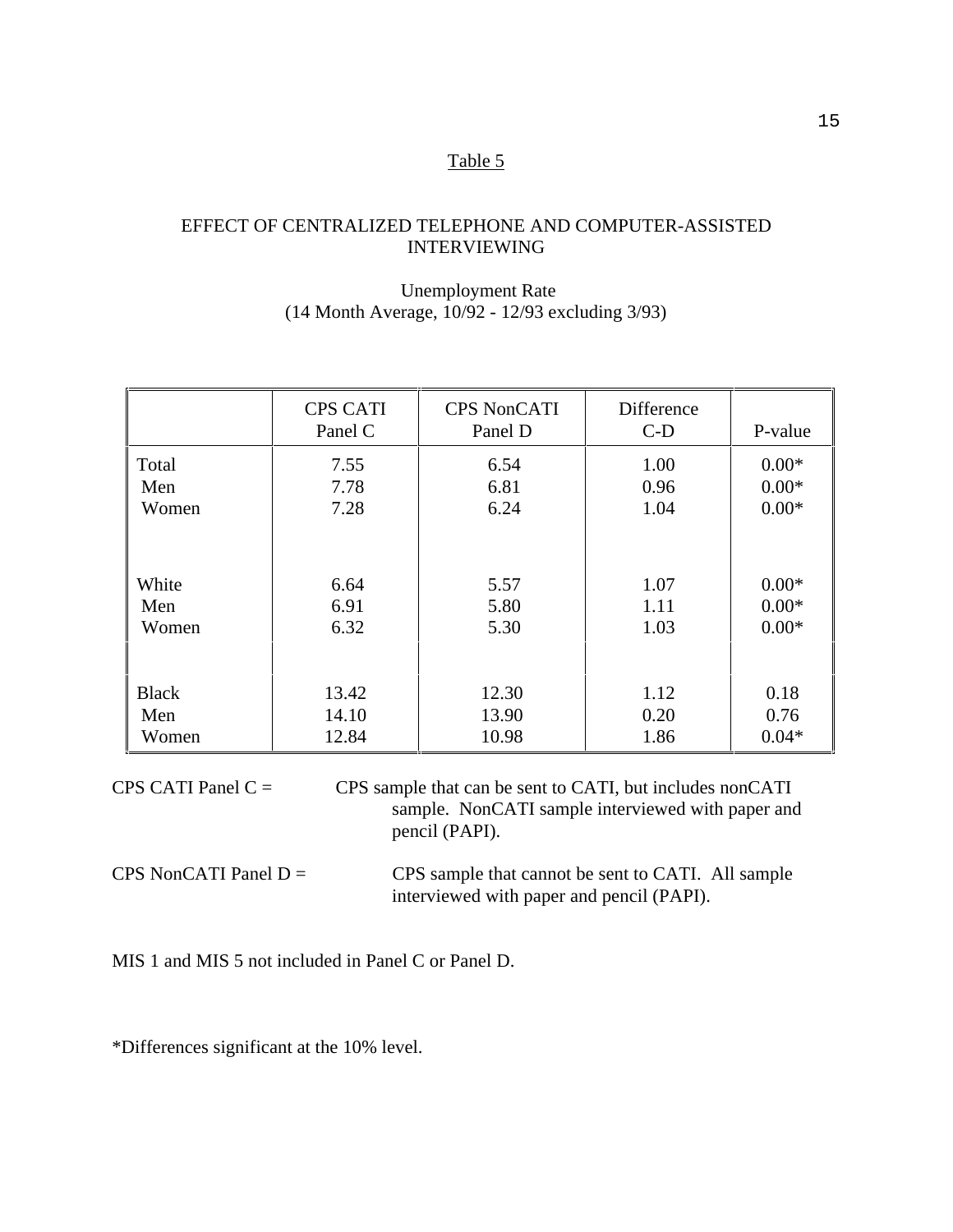### Table 5

# EFFECT OF CENTRALIZED TELEPHONE AND COMPUTER-ASSISTED INTERVIEWING

# Unemployment Rate (14 Month Average, 10/92 - 12/93 excluding 3/93)

|              | <b>CPS CATI</b><br>Panel C | <b>CPS NonCATI</b><br>Panel D | Difference<br>$C-D$ | P-value |
|--------------|----------------------------|-------------------------------|---------------------|---------|
| Total        | 7.55                       | 6.54                          | 1.00                | $0.00*$ |
| Men          | 7.78                       | 6.81                          | 0.96                | $0.00*$ |
| Women        | 7.28                       | 6.24                          | 1.04                | $0.00*$ |
| White        | 6.64                       | 5.57                          | 1.07                | $0.00*$ |
| Men          | 6.91                       | 5.80                          | 1.11                | $0.00*$ |
| Women        | 6.32                       | 5.30                          | 1.03                | $0.00*$ |
| <b>Black</b> | 13.42                      | 12.30                         | 1.12                | 0.18    |
| Men          | 14.10                      | 13.90                         | 0.20                | 0.76    |
| Women        | 12.84                      | 10.98                         | 1.86                | $0.04*$ |

CPS CATI Panel  $C =$  CPS sample that can be sent to CATI, but includes nonCATI sample. NonCATI sample interviewed with paper and pencil (PAPI).

CPS NonCATI Panel  $D =$  CPS sample that cannot be sent to CATI. All sample interviewed with paper and pencil (PAPI).

MIS 1 and MIS 5 not included in Panel C or Panel D.

\*Differences significant at the 10% level.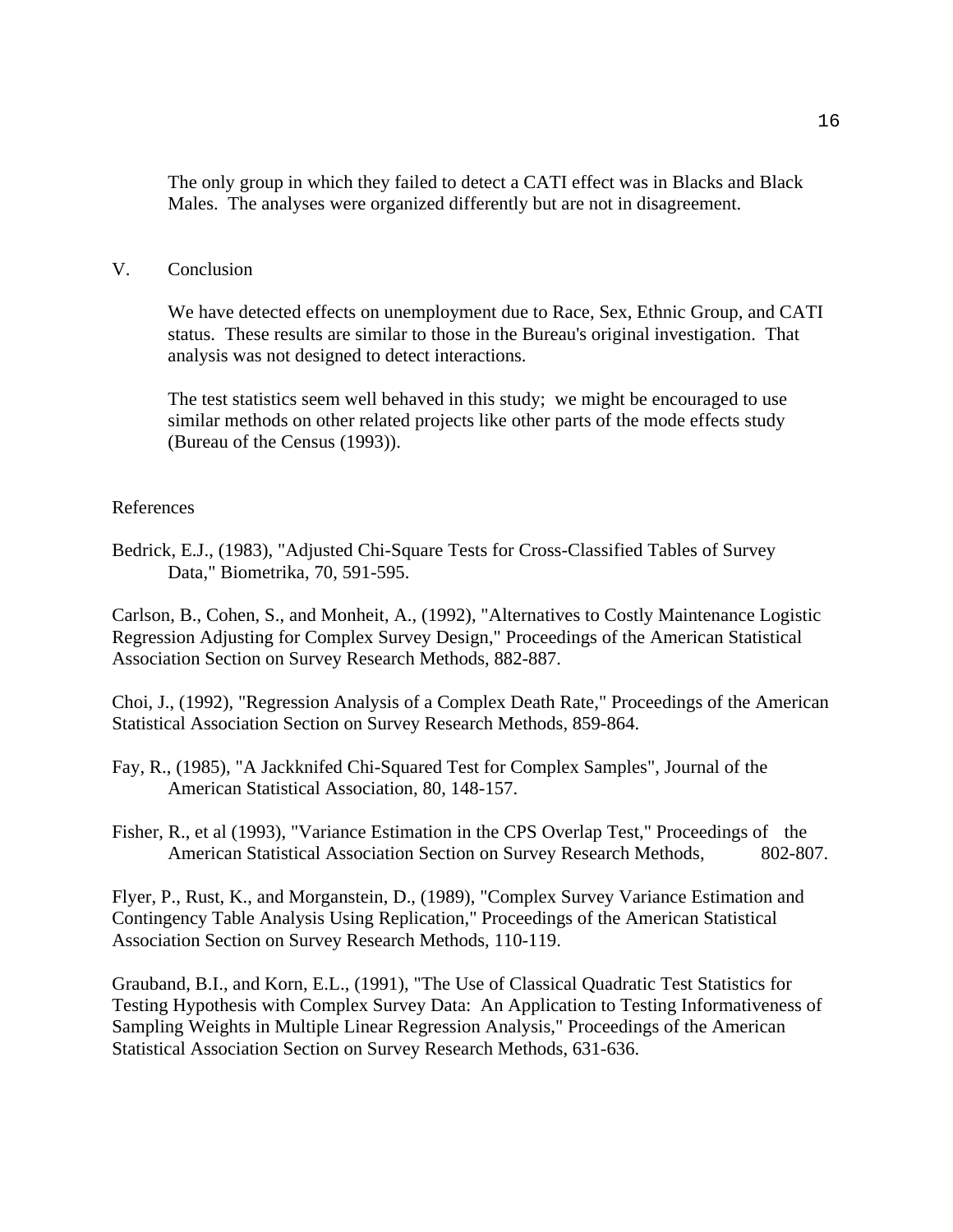The only group in which they failed to detect a CATI effect was in Blacks and Black Males. The analyses were organized differently but are not in disagreement.

### V. Conclusion

We have detected effects on unemployment due to Race, Sex, Ethnic Group, and CATI status. These results are similar to those in the Bureau's original investigation. That analysis was not designed to detect interactions.

The test statistics seem well behaved in this study; we might be encouraged to use similar methods on other related projects like other parts of the mode effects study (Bureau of the Census (1993)).

#### References

Bedrick, E.J., (1983), "Adjusted Chi-Square Tests for Cross-Classified Tables of Survey Data," Biometrika, 70, 591-595.

Carlson, B., Cohen, S., and Monheit, A., (1992), "Alternatives to Costly Maintenance Logistic Regression Adjusting for Complex Survey Design," Proceedings of the American Statistical Association Section on Survey Research Methods, 882-887.

Choi, J., (1992), "Regression Analysis of a Complex Death Rate," Proceedings of the American Statistical Association Section on Survey Research Methods, 859-864.

Fay, R., (1985), "A Jackknifed Chi-Squared Test for Complex Samples", Journal of the American Statistical Association, 80, 148-157.

Fisher, R., et al (1993), "Variance Estimation in the CPS Overlap Test," Proceedings of the American Statistical Association Section on Survey Research Methods, 802-807.

Flyer, P., Rust, K., and Morganstein, D., (1989), "Complex Survey Variance Estimation and Contingency Table Analysis Using Replication," Proceedings of the American Statistical Association Section on Survey Research Methods, 110-119.

Grauband, B.I., and Korn, E.L., (1991), "The Use of Classical Quadratic Test Statistics for Testing Hypothesis with Complex Survey Data: An Application to Testing Informativeness of Sampling Weights in Multiple Linear Regression Analysis," Proceedings of the American Statistical Association Section on Survey Research Methods, 631-636.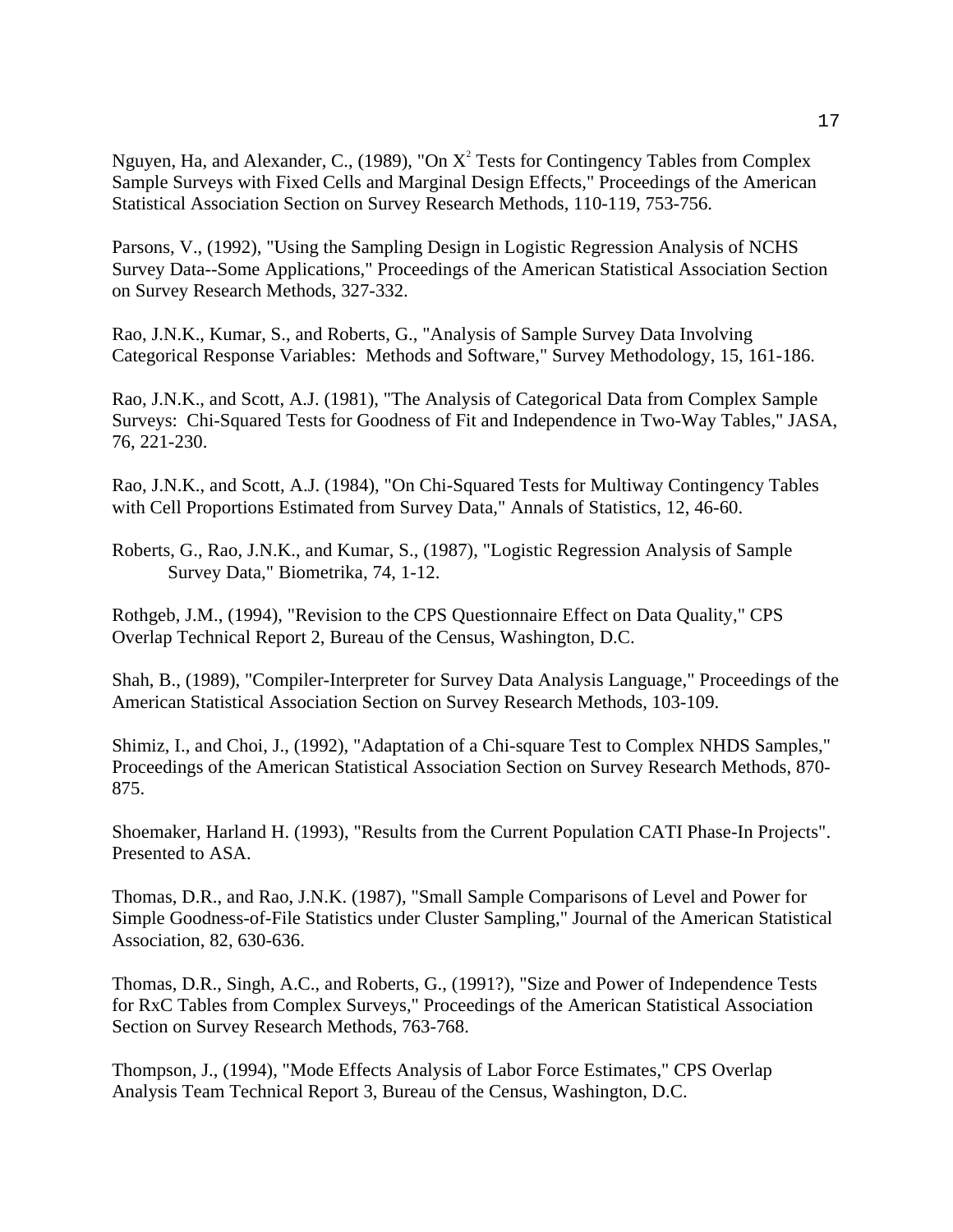Nguyen, Ha, and Alexander, C., (1989), "On  $X^2$  Tests for Contingency Tables from Complex Sample Surveys with Fixed Cells and Marginal Design Effects," Proceedings of the American Statistical Association Section on Survey Research Methods, 110-119, 753-756.

Parsons, V., (1992), "Using the Sampling Design in Logistic Regression Analysis of NCHS Survey Data--Some Applications," Proceedings of the American Statistical Association Section on Survey Research Methods, 327-332.

Rao, J.N.K., Kumar, S., and Roberts, G., "Analysis of Sample Survey Data Involving Categorical Response Variables: Methods and Software," Survey Methodology, 15, 161-186.

Rao, J.N.K., and Scott, A.J. (1981), "The Analysis of Categorical Data from Complex Sample Surveys: Chi-Squared Tests for Goodness of Fit and Independence in Two-Way Tables," JASA, 76, 221-230.

Rao, J.N.K., and Scott, A.J. (1984), "On Chi-Squared Tests for Multiway Contingency Tables with Cell Proportions Estimated from Survey Data," Annals of Statistics, 12, 46-60.

Roberts, G., Rao, J.N.K., and Kumar, S., (1987), "Logistic Regression Analysis of Sample Survey Data," Biometrika, 74, 1-12.

Rothgeb, J.M., (1994), "Revision to the CPS Questionnaire Effect on Data Quality," CPS Overlap Technical Report 2, Bureau of the Census, Washington, D.C.

Shah, B., (1989), "Compiler-Interpreter for Survey Data Analysis Language," Proceedings of the American Statistical Association Section on Survey Research Methods, 103-109.

Shimiz, I., and Choi, J., (1992), "Adaptation of a Chi-square Test to Complex NHDS Samples," Proceedings of the American Statistical Association Section on Survey Research Methods, 870- 875.

Shoemaker, Harland H. (1993), "Results from the Current Population CATI Phase-In Projects". Presented to ASA.

Thomas, D.R., and Rao, J.N.K. (1987), "Small Sample Comparisons of Level and Power for Simple Goodness-of-File Statistics under Cluster Sampling," Journal of the American Statistical Association, 82, 630-636.

Thomas, D.R., Singh, A.C., and Roberts, G., (1991?), "Size and Power of Independence Tests for RxC Tables from Complex Surveys," Proceedings of the American Statistical Association Section on Survey Research Methods, 763-768.

Thompson, J., (1994), "Mode Effects Analysis of Labor Force Estimates," CPS Overlap Analysis Team Technical Report 3, Bureau of the Census, Washington, D.C.